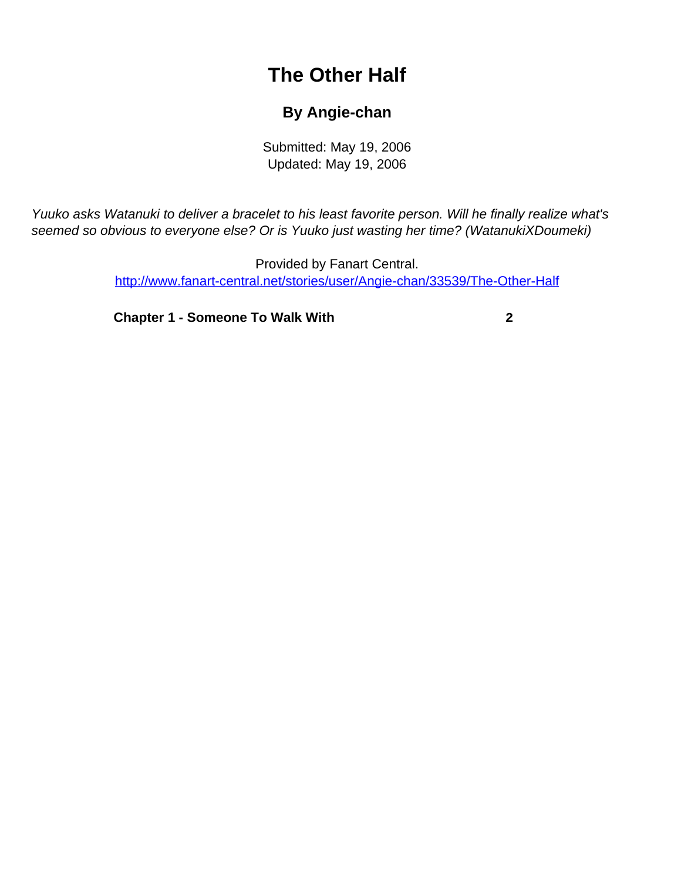## **The Other Half**

## **By Angie-chan**

Submitted: May 19, 2006 Updated: May 19, 2006

<span id="page-0-0"></span>Yuuko asks Watanuki to deliver a bracelet to his least favorite person. Will he finally realize what's seemed so obvious to everyone else? Or is Yuuko just wasting her time? (WatanukiXDoumeki)

> Provided by Fanart Central. [http://www.fanart-central.net/stories/user/Angie-chan/33539/The-Other-Half](#page-0-0)

**[Chapter 1 - Someone To Walk With](#page-1-0)** [2](#page-1-0)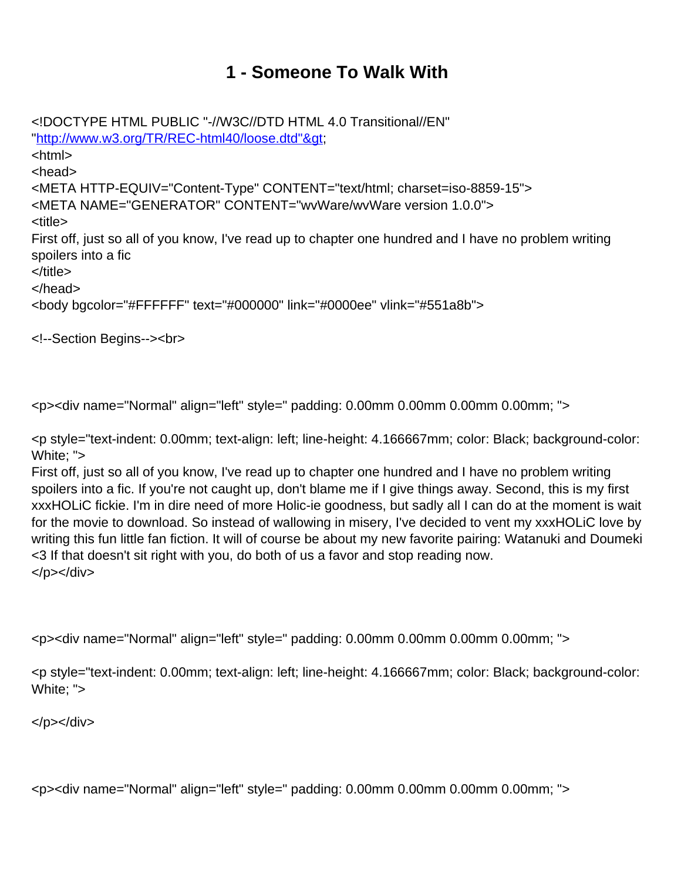## **1 - Someone To Walk With**

<span id="page-1-0"></span><!DOCTYPE HTML PUBLIC "-//W3C//DTD HTML 4.0 Transitional//EN" "http://www.w3.org/TR/REC-html40/loose.dtd"&at; <html> <head> <META HTTP-EQUIV="Content-Type" CONTENT="text/html; charset=iso-8859-15"> <META NAME="GENERATOR" CONTENT="wvWare/wvWare version 1.0.0"> <title> First off, just so all of you know, I've read up to chapter one hundred and I have no problem writing spoilers into a fic </title> </head> <body bgcolor="#FFFFFF" text="#000000" link="#0000ee" vlink="#551a8b">

<!--Section Begins--><br>

<p><div name="Normal" align="left" style=" padding: 0.00mm 0.00mm 0.00mm 0.00mm; ">

<p style="text-indent: 0.00mm; text-align: left; line-height: 4.166667mm; color: Black; background-color: White; ">

First off, just so all of you know, I've read up to chapter one hundred and I have no problem writing spoilers into a fic. If you're not caught up, don't blame me if I give things away. Second, this is my first xxxHOLiC fickie. I'm in dire need of more Holic-ie goodness, but sadly all I can do at the moment is wait for the movie to download. So instead of wallowing in misery, I've decided to vent my xxxHOLiC love by writing this fun little fan fiction. It will of course be about my new favorite pairing: Watanuki and Doumeki <3 If that doesn't sit right with you, do both of us a favor and stop reading now. </p></div>

<p><div name="Normal" align="left" style=" padding: 0.00mm 0.00mm 0.00mm 0.00mm; ">

<p style="text-indent: 0.00mm; text-align: left; line-height: 4.166667mm; color: Black; background-color: White; ">

 $<$ /p> $<$ /div>

<p><div name="Normal" align="left" style=" padding: 0.00mm 0.00mm 0.00mm 0.00mm; ">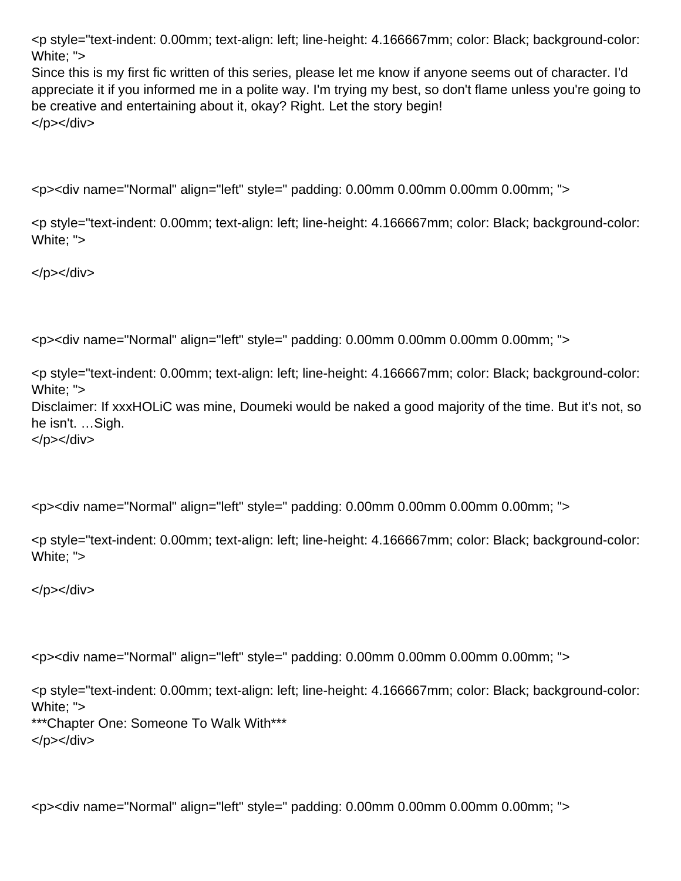<p style="text-indent: 0.00mm; text-align: left; line-height: 4.166667mm; color: Black; background-color: White: ">

Since this is my first fic written of this series, please let me know if anyone seems out of character. I'd appreciate it if you informed me in a polite way. I'm trying my best, so don't flame unless you're going to be creative and entertaining about it, okay? Right. Let the story begin! </p></div>

<p><div name="Normal" align="left" style=" padding: 0.00mm 0.00mm 0.00mm 0.00mm; ">

<p style="text-indent: 0.00mm; text-align: left; line-height: 4.166667mm; color: Black; background-color: White; ">

</p></div>

<p><div name="Normal" align="left" style=" padding: 0.00mm 0.00mm 0.00mm 0.00mm; ">

<p style="text-indent: 0.00mm; text-align: left; line-height: 4.166667mm; color: Black; background-color: White; ">

Disclaimer: If xxxHOLiC was mine, Doumeki would be naked a good majority of the time. But it's not, so he isn't. …Sigh.

</p></div>

<p><div name="Normal" align="left" style=" padding: 0.00mm 0.00mm 0.00mm 0.00mm; ">

<p style="text-indent: 0.00mm; text-align: left; line-height: 4.166667mm; color: Black; background-color: White; ">

</p></div>

<p><div name="Normal" align="left" style=" padding: 0.00mm 0.00mm 0.00mm 0.00mm; ">

<p style="text-indent: 0.00mm; text-align: left; line-height: 4.166667mm; color: Black; background-color: White; "> \*\*\*Chapter One: Someone To Walk With\*\*\* </p></div>

<p><div name="Normal" align="left" style=" padding: 0.00mm 0.00mm 0.00mm 0.00mm; ">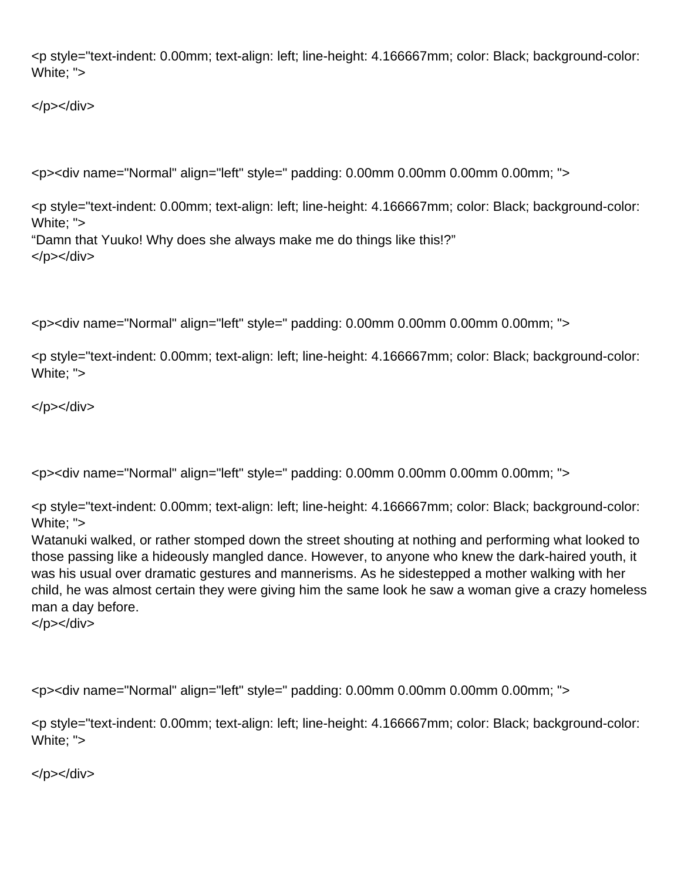<p style="text-indent: 0.00mm; text-align: left; line-height: 4.166667mm; color: Black; background-color: White; ">

</p></div>

```
<p><div name="Normal" align="left" style=" padding: 0.00mm 0.00mm 0.00mm 0.00mm; ">
```
<p style="text-indent: 0.00mm; text-align: left; line-height: 4.166667mm; color: Black; background-color: White; ">

"Damn that Yuuko! Why does she always make me do things like this!?" </p></div>

<p><div name="Normal" align="left" style=" padding: 0.00mm 0.00mm 0.00mm 0.00mm; ">

<p style="text-indent: 0.00mm; text-align: left; line-height: 4.166667mm; color: Black; background-color: White; ">

</p></div>

<p><div name="Normal" align="left" style=" padding: 0.00mm 0.00mm 0.00mm 0.00mm; ">

<p style="text-indent: 0.00mm; text-align: left; line-height: 4.166667mm; color: Black; background-color: White; ">

Watanuki walked, or rather stomped down the street shouting at nothing and performing what looked to those passing like a hideously mangled dance. However, to anyone who knew the dark-haired youth, it was his usual over dramatic gestures and mannerisms. As he sidestepped a mother walking with her child, he was almost certain they were giving him the same look he saw a woman give a crazy homeless man a day before.

</p></div>

<p><div name="Normal" align="left" style=" padding: 0.00mm 0.00mm 0.00mm 0.00mm; ">

<p style="text-indent: 0.00mm; text-align: left; line-height: 4.166667mm; color: Black; background-color: White; ">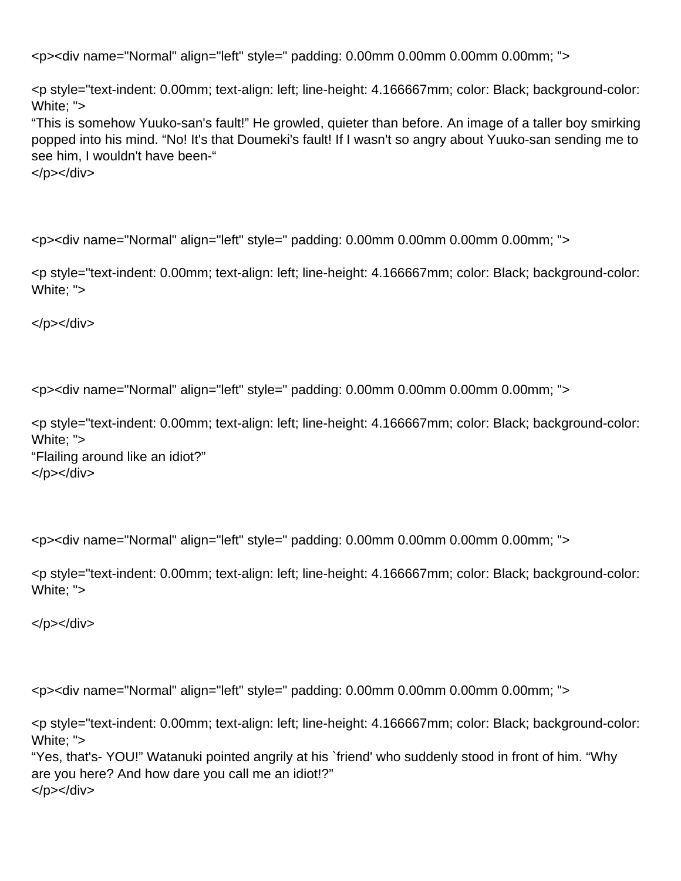<p style="text-indent: 0.00mm; text-align: left; line-height: 4.166667mm; color: Black; background-color: White; ">

"This is somehow Yuuko-san's fault!" He growled, quieter than before. An image of a taller boy smirking popped into his mind. "No! It's that Doumeki's fault! If I wasn't so angry about Yuuko-san sending me to see him, I wouldn't have been-"

</p></div>

<p><div name="Normal" align="left" style=" padding: 0.00mm 0.00mm 0.00mm 0.00mm; ">

<p style="text-indent: 0.00mm; text-align: left; line-height: 4.166667mm; color: Black; background-color: White; ">

</p></div>

<p><div name="Normal" align="left" style=" padding: 0.00mm 0.00mm 0.00mm 0.00mm; ">

<p style="text-indent: 0.00mm; text-align: left; line-height: 4.166667mm; color: Black; background-color: White; "> "Flailing around like an idiot?" </p></div>

<p><div name="Normal" align="left" style=" padding: 0.00mm 0.00mm 0.00mm 0.00mm; ">

<p style="text-indent: 0.00mm; text-align: left; line-height: 4.166667mm; color: Black; background-color: White; ">

</p></div>

<p><div name="Normal" align="left" style=" padding: 0.00mm 0.00mm 0.00mm 0.00mm; ">

<p style="text-indent: 0.00mm; text-align: left; line-height: 4.166667mm; color: Black; background-color: White; ">

"Yes, that's- YOU!" Watanuki pointed angrily at his `friend' who suddenly stood in front of him. "Why are you here? And how dare you call me an idiot!?" </p></div>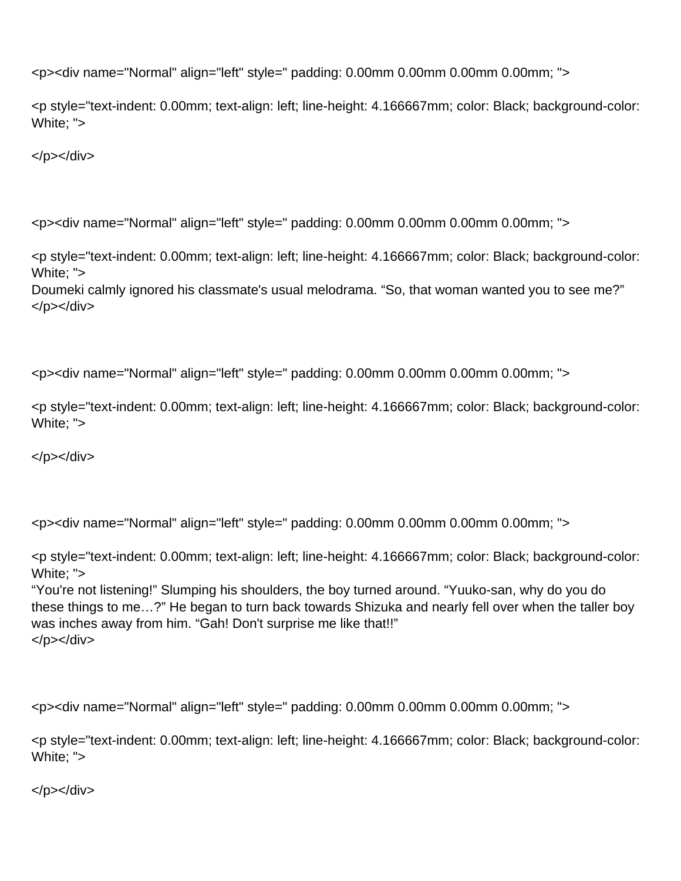<p style="text-indent: 0.00mm; text-align: left; line-height: 4.166667mm; color: Black; background-color: White; ">

</p></div>

<p><div name="Normal" align="left" style=" padding: 0.00mm 0.00mm 0.00mm 0.00mm; ">

<p style="text-indent: 0.00mm; text-align: left; line-height: 4.166667mm; color: Black; background-color: White; ">

Doumeki calmly ignored his classmate's usual melodrama. "So, that woman wanted you to see me?" </p></div>

<p><div name="Normal" align="left" style=" padding: 0.00mm 0.00mm 0.00mm 0.00mm; ">

<p style="text-indent: 0.00mm; text-align: left; line-height: 4.166667mm; color: Black; background-color: White; ">

</p></div>

<p><div name="Normal" align="left" style=" padding: 0.00mm 0.00mm 0.00mm 0.00mm; ">

<p style="text-indent: 0.00mm; text-align: left; line-height: 4.166667mm; color: Black; background-color: White; ">

"You're not listening!" Slumping his shoulders, the boy turned around. "Yuuko-san, why do you do these things to me…?" He began to turn back towards Shizuka and nearly fell over when the taller boy was inches away from him. "Gah! Don't surprise me like that!!" </p></div>

<p><div name="Normal" align="left" style=" padding: 0.00mm 0.00mm 0.00mm 0.00mm; ">

<p style="text-indent: 0.00mm; text-align: left; line-height: 4.166667mm; color: Black; background-color: White; ">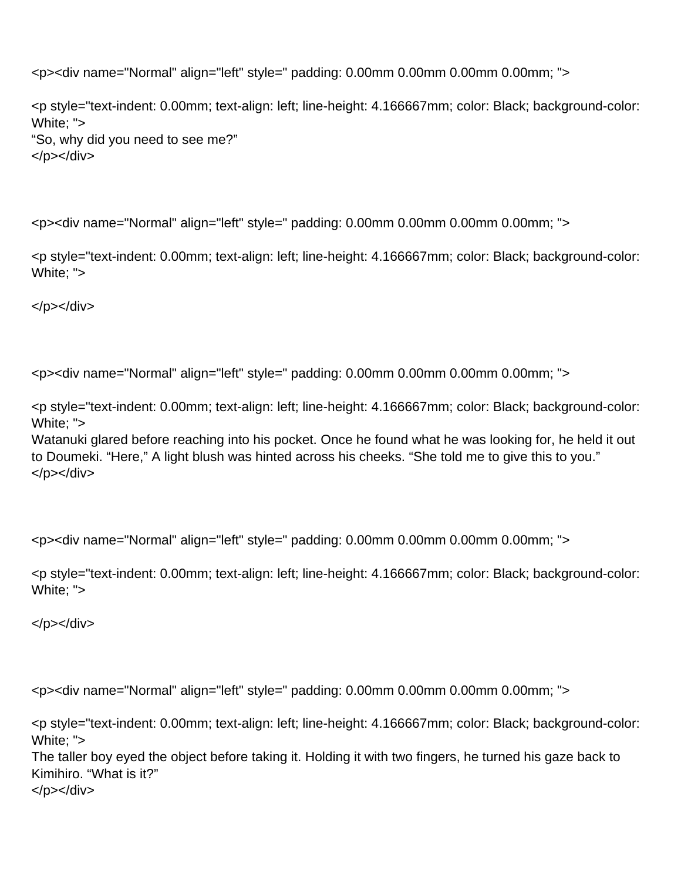<p style="text-indent: 0.00mm; text-align: left; line-height: 4.166667mm; color: Black; background-color: White; "> "So, why did you need to see me?" </p></div>

<p><div name="Normal" align="left" style=" padding: 0.00mm 0.00mm 0.00mm 0.00mm; ">

<p style="text-indent: 0.00mm; text-align: left; line-height: 4.166667mm; color: Black; background-color: White; ">

</p></div>

<p><div name="Normal" align="left" style=" padding: 0.00mm 0.00mm 0.00mm 0.00mm; ">

<p style="text-indent: 0.00mm; text-align: left; line-height: 4.166667mm; color: Black; background-color: White; ">

Watanuki glared before reaching into his pocket. Once he found what he was looking for, he held it out to Doumeki. "Here," A light blush was hinted across his cheeks. "She told me to give this to you." </p></div>

<p><div name="Normal" align="left" style=" padding: 0.00mm 0.00mm 0.00mm 0.00mm; ">

<p style="text-indent: 0.00mm; text-align: left; line-height: 4.166667mm; color: Black; background-color: White; ">

</p></div>

<p><div name="Normal" align="left" style=" padding: 0.00mm 0.00mm 0.00mm 0.00mm; ">

<p style="text-indent: 0.00mm; text-align: left; line-height: 4.166667mm; color: Black; background-color: White; "> The taller boy eyed the object before taking it. Holding it with two fingers, he turned his gaze back to Kimihiro. "What is it?"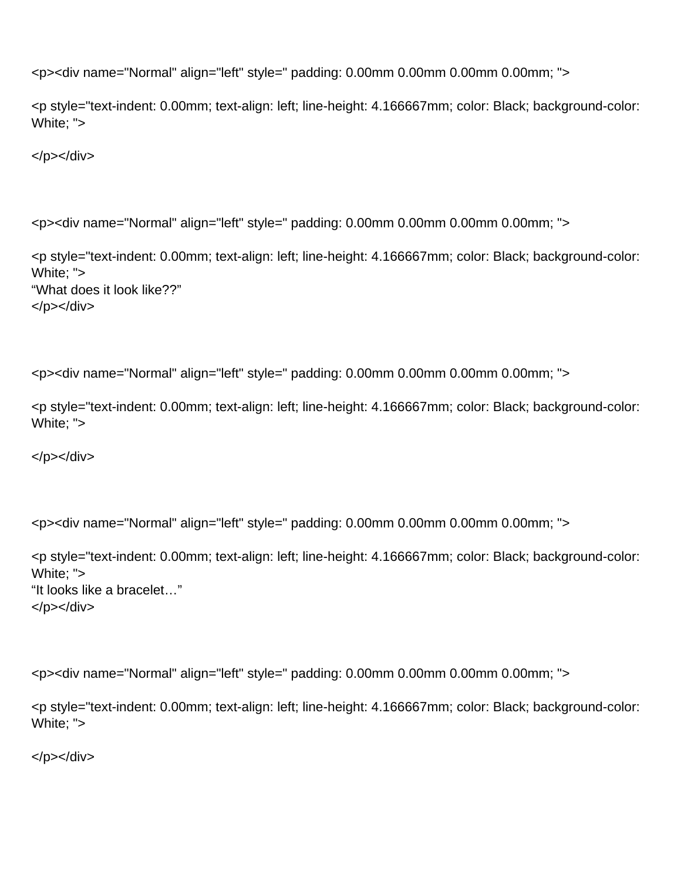```
<p><div name="Normal" align="left" style=" padding: 0.00mm 0.00mm 0.00mm 0.00mm; ">
```
<p style="text-indent: 0.00mm; text-align: left; line-height: 4.166667mm; color: Black; background-color: White; ">

</p></div>

```
<p><div name="Normal" align="left" style=" padding: 0.00mm 0.00mm 0.00mm 0.00mm; ">
```
<p style="text-indent: 0.00mm; text-align: left; line-height: 4.166667mm; color: Black; background-color: White; "> "What does it look like??" </p></div>

```
<p><div name="Normal" align="left" style=" padding: 0.00mm 0.00mm 0.00mm 0.00mm; ">
```
<p style="text-indent: 0.00mm; text-align: left; line-height: 4.166667mm; color: Black; background-color: White; ">

</p></div>

```
<p><div name="Normal" align="left" style=" padding: 0.00mm 0.00mm 0.00mm 0.00mm; ">
```

```
<p style="text-indent: 0.00mm; text-align: left; line-height: 4.166667mm; color: Black; background-color:
White; ">
"It looks like a bracelet…"
</p></div>
```
<p><div name="Normal" align="left" style=" padding: 0.00mm 0.00mm 0.00mm 0.00mm; ">

```
<p style="text-indent: 0.00mm; text-align: left; line-height: 4.166667mm; color: Black; background-color:
White; ">
```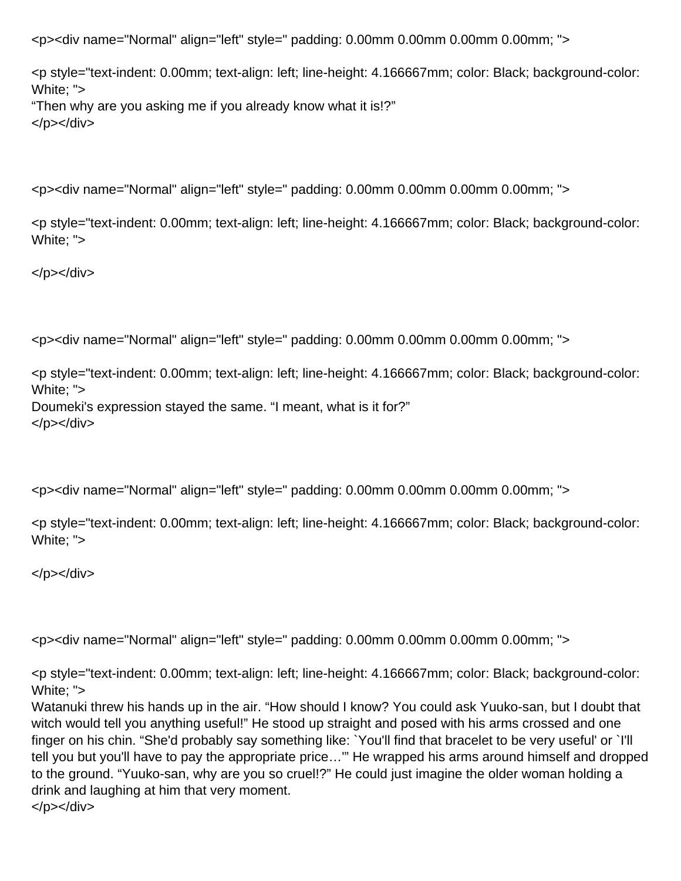<p style="text-indent: 0.00mm; text-align: left; line-height: 4.166667mm; color: Black; background-color: White; "> "Then why are you asking me if you already know what it is!?" </p></div>

<p><div name="Normal" align="left" style=" padding: 0.00mm 0.00mm 0.00mm 0.00mm; ">

<p style="text-indent: 0.00mm; text-align: left; line-height: 4.166667mm; color: Black; background-color: White; ">

</p></div>

<p><div name="Normal" align="left" style=" padding: 0.00mm 0.00mm 0.00mm 0.00mm; ">

<p style="text-indent: 0.00mm; text-align: left; line-height: 4.166667mm; color: Black; background-color: White; "> Doumeki's expression stayed the same. "I meant, what is it for?" </p></div>

<p><div name="Normal" align="left" style=" padding: 0.00mm 0.00mm 0.00mm 0.00mm; ">

<p style="text-indent: 0.00mm; text-align: left; line-height: 4.166667mm; color: Black; background-color: White; ">

</p></div>

<p><div name="Normal" align="left" style=" padding: 0.00mm 0.00mm 0.00mm 0.00mm; ">

<p style="text-indent: 0.00mm; text-align: left; line-height: 4.166667mm; color: Black; background-color: White; ">

Watanuki threw his hands up in the air. "How should I know? You could ask Yuuko-san, but I doubt that witch would tell you anything useful!" He stood up straight and posed with his arms crossed and one finger on his chin. "She'd probably say something like: `You'll find that bracelet to be very useful' or `I'll tell you but you'll have to pay the appropriate price…'" He wrapped his arms around himself and dropped to the ground. "Yuuko-san, why are you so cruel!?" He could just imagine the older woman holding a drink and laughing at him that very moment. </p></div>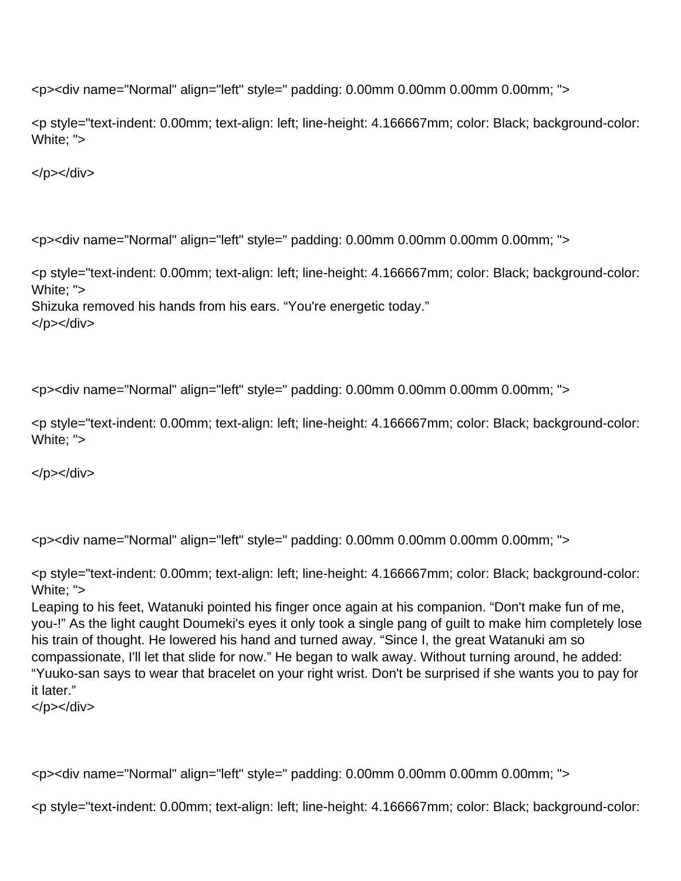<p style="text-indent: 0.00mm; text-align: left; line-height: 4.166667mm; color: Black; background-color: White; ">

</p></div>

<p><div name="Normal" align="left" style=" padding: 0.00mm 0.00mm 0.00mm 0.00mm; ">

<p style="text-indent: 0.00mm; text-align: left; line-height: 4.166667mm; color: Black; background-color: White: ">

Shizuka removed his hands from his ears. "You're energetic today."

</p></div>

<p><div name="Normal" align="left" style=" padding: 0.00mm 0.00mm 0.00mm 0.00mm; ">

<p style="text-indent: 0.00mm; text-align: left; line-height: 4.166667mm; color: Black; background-color: White; ">

 $<$ /p> $<$ /div>

<p><div name="Normal" align="left" style=" padding: 0.00mm 0.00mm 0.00mm 0.00mm; ">

<p style="text-indent: 0.00mm; text-align: left; line-height: 4.166667mm; color: Black; background-color: White: ">

Leaping to his feet, Watanuki pointed his finger once again at his companion. "Don't make fun of me, you-!" As the light caught Doumeki's eyes it only took a single pang of guilt to make him completely lose his train of thought. He lowered his hand and turned away. "Since I, the great Watanuki am so compassionate, I'll let that slide for now." He began to walk away. Without turning around, he added: "Yuuko-san says to wear that bracelet on your right wrist. Don't be surprised if she wants you to pay for it later."

</p></div>

<p><div name="Normal" align="left" style=" padding: 0.00mm 0.00mm 0.00mm 0.00mm; ">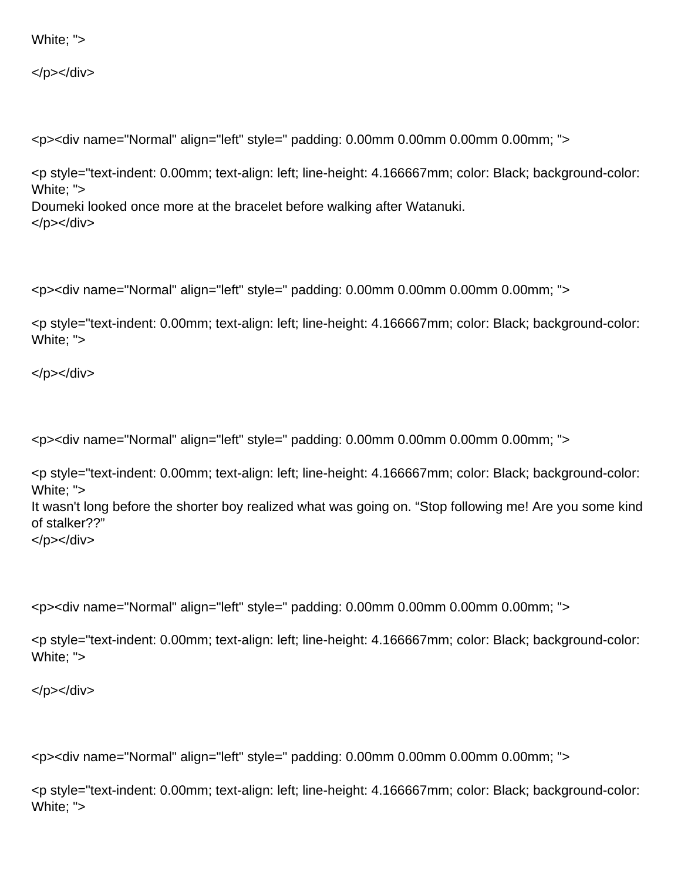## White; ">

</p></div>

<p><div name="Normal" align="left" style=" padding: 0.00mm 0.00mm 0.00mm 0.00mm; ">

<p style="text-indent: 0.00mm; text-align: left; line-height: 4.166667mm; color: Black; background-color: White; "> Doumeki looked once more at the bracelet before walking after Watanuki. </p></div>

<p><div name="Normal" align="left" style=" padding: 0.00mm 0.00mm 0.00mm 0.00mm; ">

<p style="text-indent: 0.00mm; text-align: left; line-height: 4.166667mm; color: Black; background-color: White; ">

</p></div>

<p><div name="Normal" align="left" style=" padding: 0.00mm 0.00mm 0.00mm 0.00mm; ">

<p style="text-indent: 0.00mm; text-align: left; line-height: 4.166667mm; color: Black; background-color: White; ">

It wasn't long before the shorter boy realized what was going on. "Stop following me! Are you some kind of stalker??"

</p></div>

<p><div name="Normal" align="left" style=" padding: 0.00mm 0.00mm 0.00mm 0.00mm; ">

<p style="text-indent: 0.00mm; text-align: left; line-height: 4.166667mm; color: Black; background-color: White; ">

</p></div>

<p><div name="Normal" align="left" style=" padding: 0.00mm 0.00mm 0.00mm 0.00mm; ">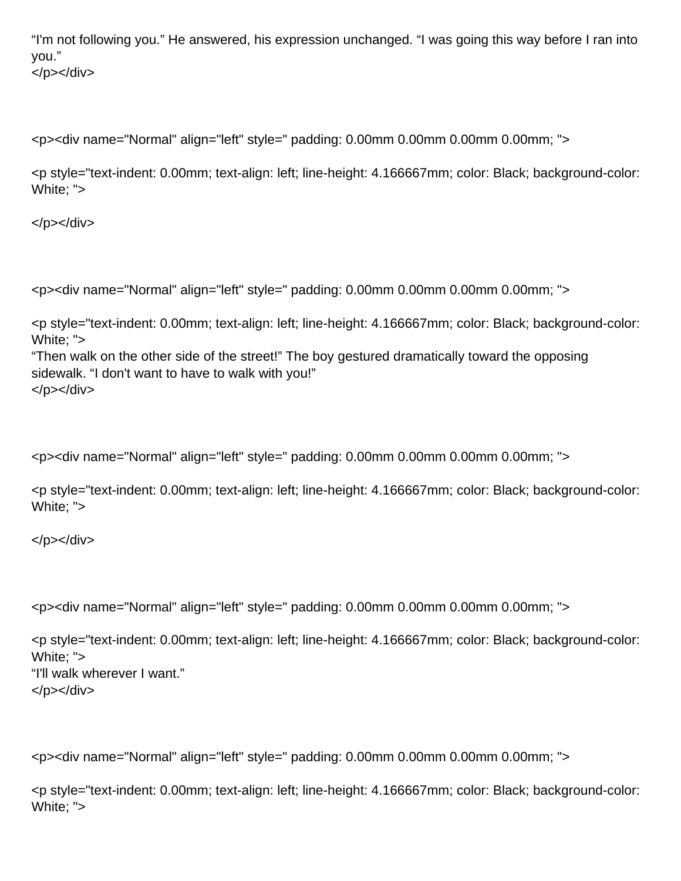"I'm not following you." He answered, his expression unchanged. "I was going this way before I ran into you." </p></div>

<p><div name="Normal" align="left" style=" padding: 0.00mm 0.00mm 0.00mm 0.00mm; ">

<p style="text-indent: 0.00mm; text-align: left; line-height: 4.166667mm; color: Black; background-color: White; ">

</p></div>

<p><div name="Normal" align="left" style=" padding: 0.00mm 0.00mm 0.00mm 0.00mm; ">

<p style="text-indent: 0.00mm; text-align: left; line-height: 4.166667mm; color: Black; background-color: White; ">

"Then walk on the other side of the street!" The boy gestured dramatically toward the opposing sidewalk. "I don't want to have to walk with you!" </p></div>

<p><div name="Normal" align="left" style=" padding: 0.00mm 0.00mm 0.00mm 0.00mm; ">

<p style="text-indent: 0.00mm; text-align: left; line-height: 4.166667mm; color: Black; background-color: White; ">

</p></div>

<p><div name="Normal" align="left" style=" padding: 0.00mm 0.00mm 0.00mm 0.00mm; ">

<p style="text-indent: 0.00mm; text-align: left; line-height: 4.166667mm; color: Black; background-color: White; "> "I'll walk wherever I want." </p></div>

<p><div name="Normal" align="left" style=" padding: 0.00mm 0.00mm 0.00mm 0.00mm; ">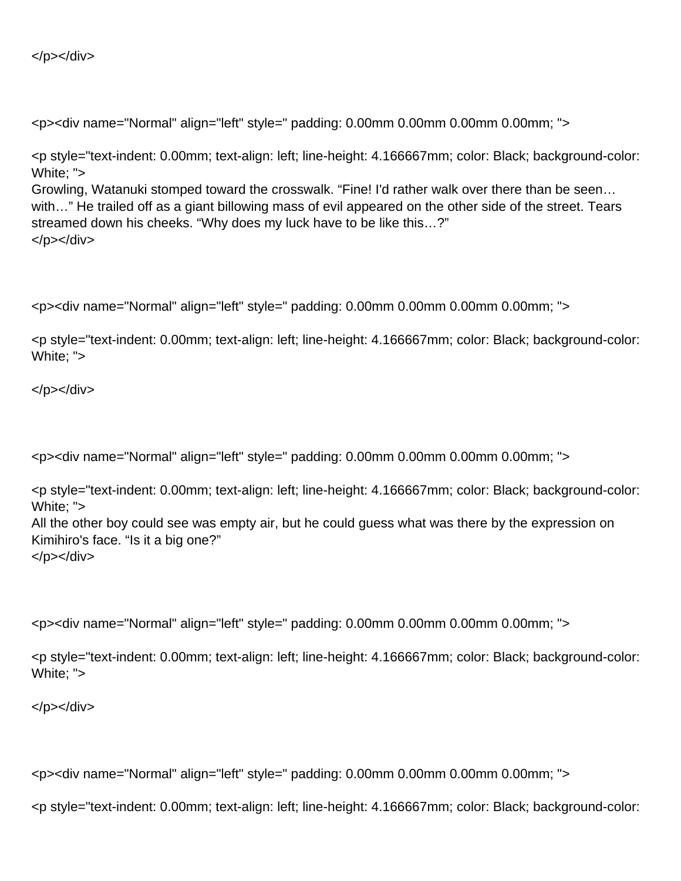</p></div>

<p><div name="Normal" align="left" style=" padding: 0.00mm 0.00mm 0.00mm 0.00mm; ">

<p style="text-indent: 0.00mm; text-align: left; line-height: 4.166667mm; color: Black; background-color: White: "> Growling, Watanuki stomped toward the crosswalk. "Fine! I'd rather walk over there than be seen… with..." He trailed off as a giant billowing mass of evil appeared on the other side of the street. Tears streamed down his cheeks. "Why does my luck have to be like this…?"

</p></div>

<p><div name="Normal" align="left" style=" padding: 0.00mm 0.00mm 0.00mm 0.00mm; ">

<p style="text-indent: 0.00mm; text-align: left; line-height: 4.166667mm; color: Black; background-color: White; ">

</p></div>

<p><div name="Normal" align="left" style=" padding: 0.00mm 0.00mm 0.00mm 0.00mm; ">

<p style="text-indent: 0.00mm; text-align: left; line-height: 4.166667mm; color: Black; background-color: White; ">

All the other boy could see was empty air, but he could guess what was there by the expression on Kimihiro's face. "Is it a big one?" </p></div>

<p><div name="Normal" align="left" style=" padding: 0.00mm 0.00mm 0.00mm 0.00mm; ">

<p style="text-indent: 0.00mm; text-align: left; line-height: 4.166667mm; color: Black; background-color: White; ">

</p></div>

<p><div name="Normal" align="left" style=" padding: 0.00mm 0.00mm 0.00mm 0.00mm; ">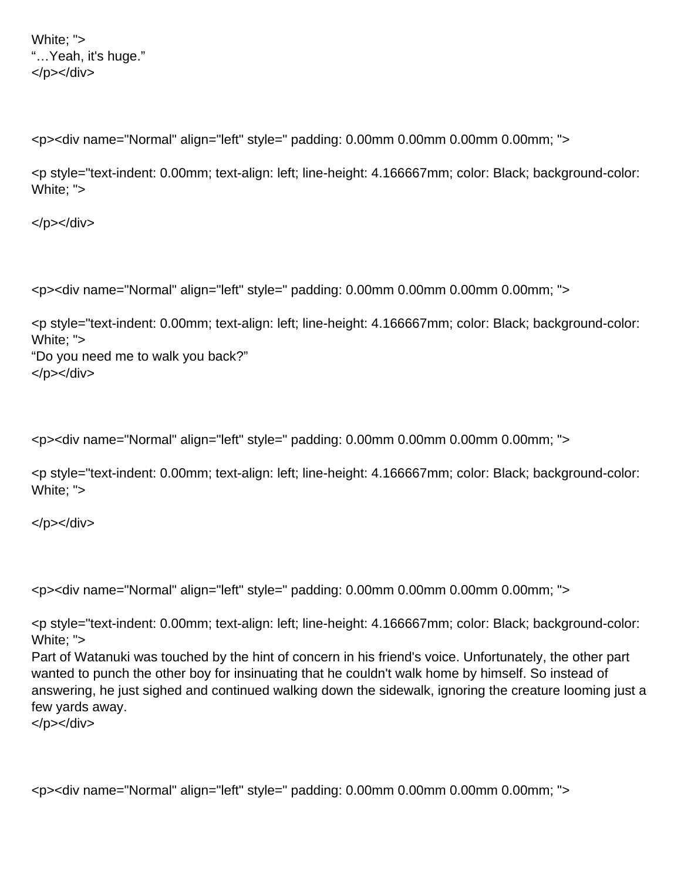White; "> "…Yeah, it's huge." </p></div>

<p><div name="Normal" align="left" style=" padding: 0.00mm 0.00mm 0.00mm 0.00mm; ">

<p style="text-indent: 0.00mm; text-align: left; line-height: 4.166667mm; color: Black; background-color: White; ">

</p></div>

<p><div name="Normal" align="left" style=" padding: 0.00mm 0.00mm 0.00mm 0.00mm; ">

<p style="text-indent: 0.00mm; text-align: left; line-height: 4.166667mm; color: Black; background-color: White; "> "Do you need me to walk you back?" </p></div>

<p><div name="Normal" align="left" style=" padding: 0.00mm 0.00mm 0.00mm 0.00mm; ">

<p style="text-indent: 0.00mm; text-align: left; line-height: 4.166667mm; color: Black; background-color: White; ">

</p></div>

<p><div name="Normal" align="left" style=" padding: 0.00mm 0.00mm 0.00mm 0.00mm; ">

<p style="text-indent: 0.00mm; text-align: left; line-height: 4.166667mm; color: Black; background-color: White; ">

Part of Watanuki was touched by the hint of concern in his friend's voice. Unfortunately, the other part wanted to punch the other boy for insinuating that he couldn't walk home by himself. So instead of answering, he just sighed and continued walking down the sidewalk, ignoring the creature looming just a few yards away.

</p></div>

<p><div name="Normal" align="left" style=" padding: 0.00mm 0.00mm 0.00mm 0.00mm; ">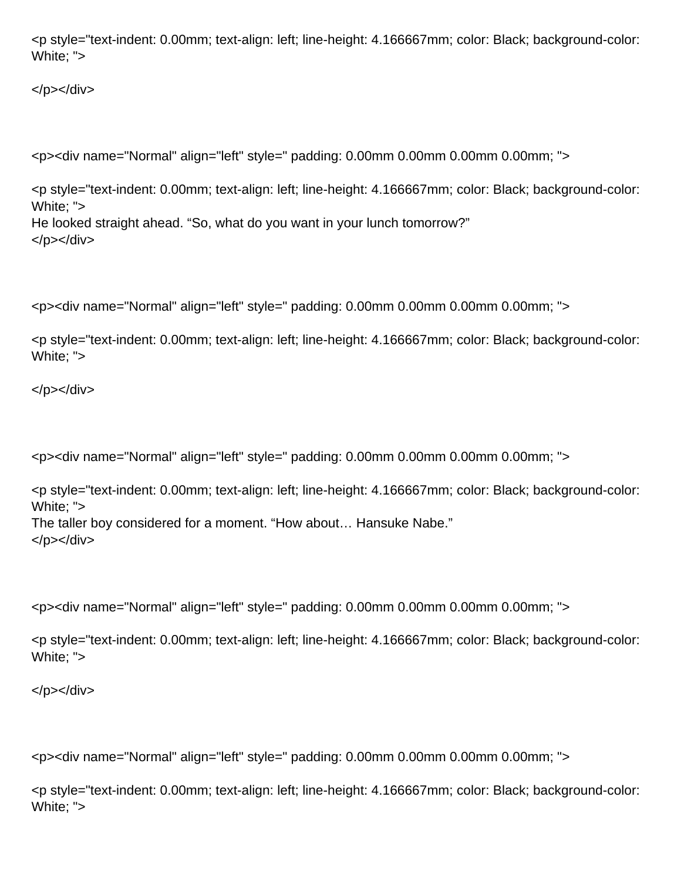<p style="text-indent: 0.00mm; text-align: left; line-height: 4.166667mm; color: Black; background-color: White; ">

</p></div>

<p><div name="Normal" align="left" style=" padding: 0.00mm 0.00mm 0.00mm 0.00mm; ">

<p style="text-indent: 0.00mm; text-align: left; line-height: 4.166667mm; color: Black; background-color: White; "> He looked straight ahead. "So, what do you want in your lunch tomorrow?" </p></div>

<p><div name="Normal" align="left" style=" padding: 0.00mm 0.00mm 0.00mm 0.00mm; ">

<p style="text-indent: 0.00mm; text-align: left; line-height: 4.166667mm; color: Black; background-color: White; ">

</p></div>

<p><div name="Normal" align="left" style=" padding: 0.00mm 0.00mm 0.00mm 0.00mm; ">

<p style="text-indent: 0.00mm; text-align: left; line-height: 4.166667mm; color: Black; background-color: White; "> The taller boy considered for a moment. "How about… Hansuke Nabe." </p></div>

<p><div name="Normal" align="left" style=" padding: 0.00mm 0.00mm 0.00mm 0.00mm; ">

<p style="text-indent: 0.00mm; text-align: left; line-height: 4.166667mm; color: Black; background-color: White; ">

</p></div>

<p><div name="Normal" align="left" style=" padding: 0.00mm 0.00mm 0.00mm 0.00mm; ">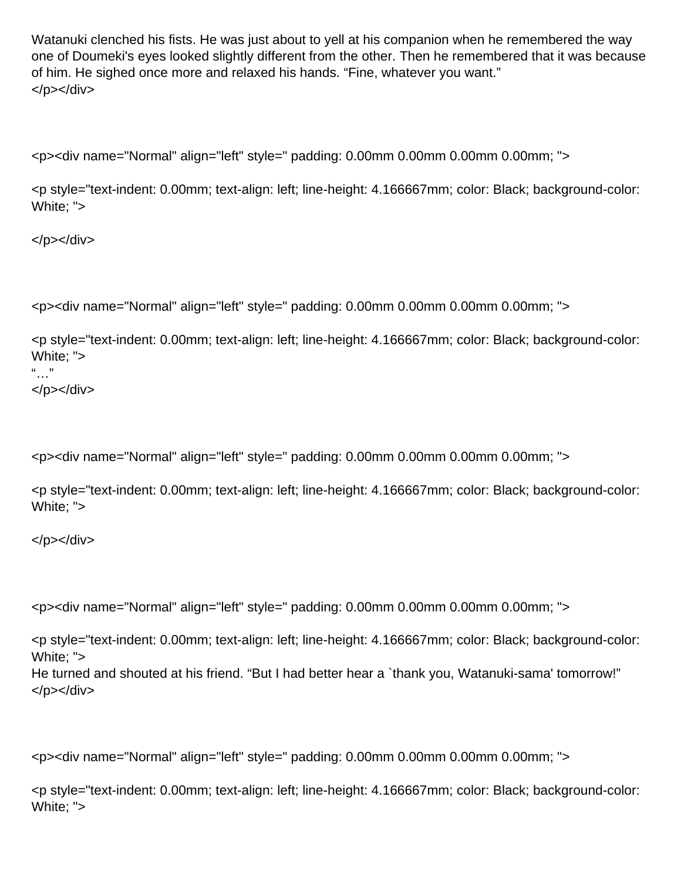Watanuki clenched his fists. He was just about to yell at his companion when he remembered the way one of Doumeki's eyes looked slightly different from the other. Then he remembered that it was because of him. He sighed once more and relaxed his hands. "Fine, whatever you want." </p></div>

<p><div name="Normal" align="left" style=" padding: 0.00mm 0.00mm 0.00mm 0.00mm; ">

<p style="text-indent: 0.00mm; text-align: left; line-height: 4.166667mm; color: Black; background-color: White; ">

</p></div>

<p><div name="Normal" align="left" style=" padding: 0.00mm 0.00mm 0.00mm 0.00mm; ">

<p style="text-indent: 0.00mm; text-align: left; line-height: 4.166667mm; color: Black; background-color: White; ">

 $"$ …" </p></div>

<p><div name="Normal" align="left" style=" padding: 0.00mm 0.00mm 0.00mm 0.00mm; ">

<p style="text-indent: 0.00mm; text-align: left; line-height: 4.166667mm; color: Black; background-color: White; ">

</p></div>

<p><div name="Normal" align="left" style=" padding: 0.00mm 0.00mm 0.00mm 0.00mm; ">

<p style="text-indent: 0.00mm; text-align: left; line-height: 4.166667mm; color: Black; background-color: White; "> He turned and shouted at his friend. "But I had better hear a `thank you, Watanuki-sama' tomorrow!"

</p></div>

<p><div name="Normal" align="left" style=" padding: 0.00mm 0.00mm 0.00mm 0.00mm; ">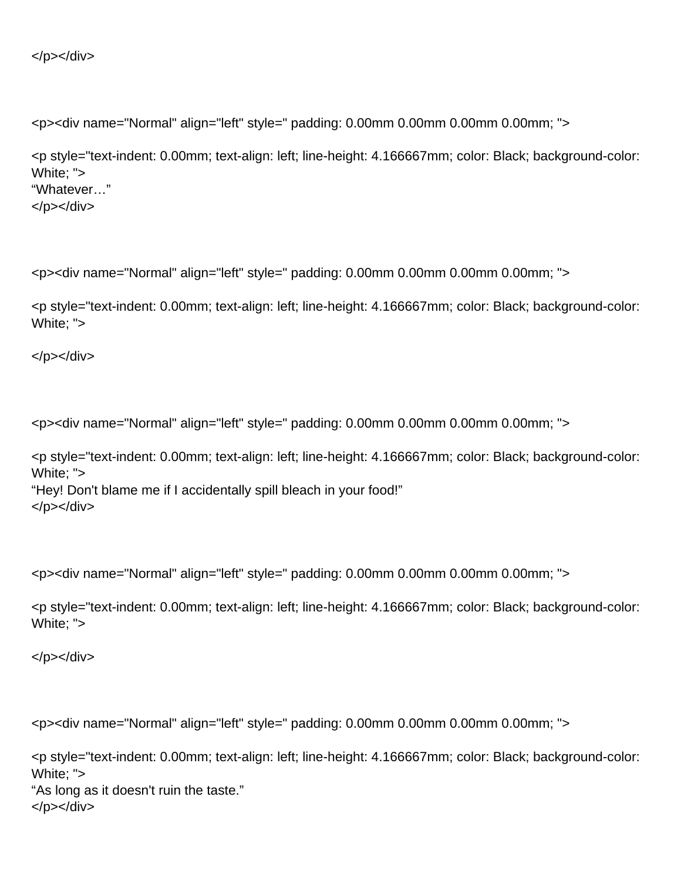```
</p></div>
```
<p style="text-indent: 0.00mm; text-align: left; line-height: 4.166667mm; color: Black; background-color: White; "> "Whatever…" </p></div>

<p><div name="Normal" align="left" style=" padding: 0.00mm 0.00mm 0.00mm 0.00mm; ">

<p style="text-indent: 0.00mm; text-align: left; line-height: 4.166667mm; color: Black; background-color: White; ">

</p></div>

<p><div name="Normal" align="left" style=" padding: 0.00mm 0.00mm 0.00mm 0.00mm; ">

<p style="text-indent: 0.00mm; text-align: left; line-height: 4.166667mm; color: Black; background-color: White; "> "Hey! Don't blame me if I accidentally spill bleach in your food!" </p></div>

<p><div name="Normal" align="left" style=" padding: 0.00mm 0.00mm 0.00mm 0.00mm; ">

<p style="text-indent: 0.00mm; text-align: left; line-height: 4.166667mm; color: Black; background-color: White; ">

</p></div>

<p><div name="Normal" align="left" style=" padding: 0.00mm 0.00mm 0.00mm 0.00mm; ">

<p style="text-indent: 0.00mm; text-align: left; line-height: 4.166667mm; color: Black; background-color: White; "> "As long as it doesn't ruin the taste." </p></div>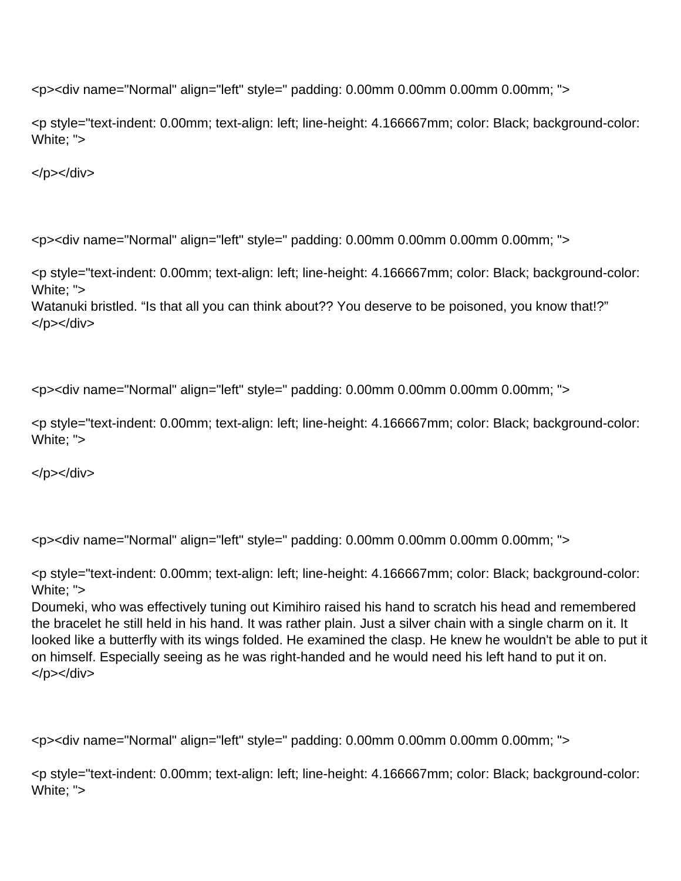<p style="text-indent: 0.00mm; text-align: left; line-height: 4.166667mm; color: Black; background-color: White; ">

</p></div>

<p><div name="Normal" align="left" style=" padding: 0.00mm 0.00mm 0.00mm 0.00mm; ">

<p style="text-indent: 0.00mm; text-align: left; line-height: 4.166667mm; color: Black; background-color: White: ">

Watanuki bristled. "Is that all you can think about?? You deserve to be poisoned, you know that!?" </p></div>

<p><div name="Normal" align="left" style=" padding: 0.00mm 0.00mm 0.00mm 0.00mm; ">

<p style="text-indent: 0.00mm; text-align: left; line-height: 4.166667mm; color: Black; background-color: White; ">

 $<$ /p> $<$ /div>

<p><div name="Normal" align="left" style=" padding: 0.00mm 0.00mm 0.00mm 0.00mm; ">

<p style="text-indent: 0.00mm; text-align: left; line-height: 4.166667mm; color: Black; background-color: White: ">

Doumeki, who was effectively tuning out Kimihiro raised his hand to scratch his head and remembered the bracelet he still held in his hand. It was rather plain. Just a silver chain with a single charm on it. It looked like a butterfly with its wings folded. He examined the clasp. He knew he wouldn't be able to put it on himself. Especially seeing as he was right-handed and he would need his left hand to put it on. </p></div>

<p><div name="Normal" align="left" style=" padding: 0.00mm 0.00mm 0.00mm 0.00mm; ">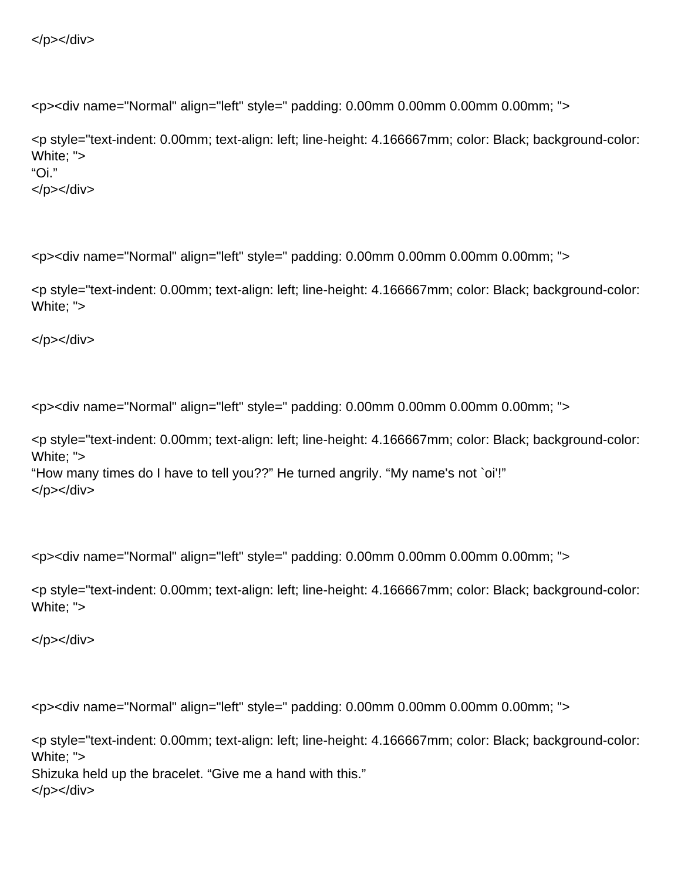```
</p></div>
```
<p style="text-indent: 0.00mm; text-align: left; line-height: 4.166667mm; color: Black; background-color: White; "> "Oi." </p></div>

<p><div name="Normal" align="left" style=" padding: 0.00mm 0.00mm 0.00mm 0.00mm; ">

<p style="text-indent: 0.00mm; text-align: left; line-height: 4.166667mm; color: Black; background-color: White; ">

</p></div>

<p><div name="Normal" align="left" style=" padding: 0.00mm 0.00mm 0.00mm 0.00mm; ">

<p style="text-indent: 0.00mm; text-align: left; line-height: 4.166667mm; color: Black; background-color: White; "> "How many times do I have to tell you??" He turned angrily. "My name's not `oi'!" </p></div>

<p><div name="Normal" align="left" style=" padding: 0.00mm 0.00mm 0.00mm 0.00mm; ">

<p style="text-indent: 0.00mm; text-align: left; line-height: 4.166667mm; color: Black; background-color: White; ">

</p></div>

<p><div name="Normal" align="left" style=" padding: 0.00mm 0.00mm 0.00mm 0.00mm; ">

<p style="text-indent: 0.00mm; text-align: left; line-height: 4.166667mm; color: Black; background-color: White; "> Shizuka held up the bracelet. "Give me a hand with this." </p></div>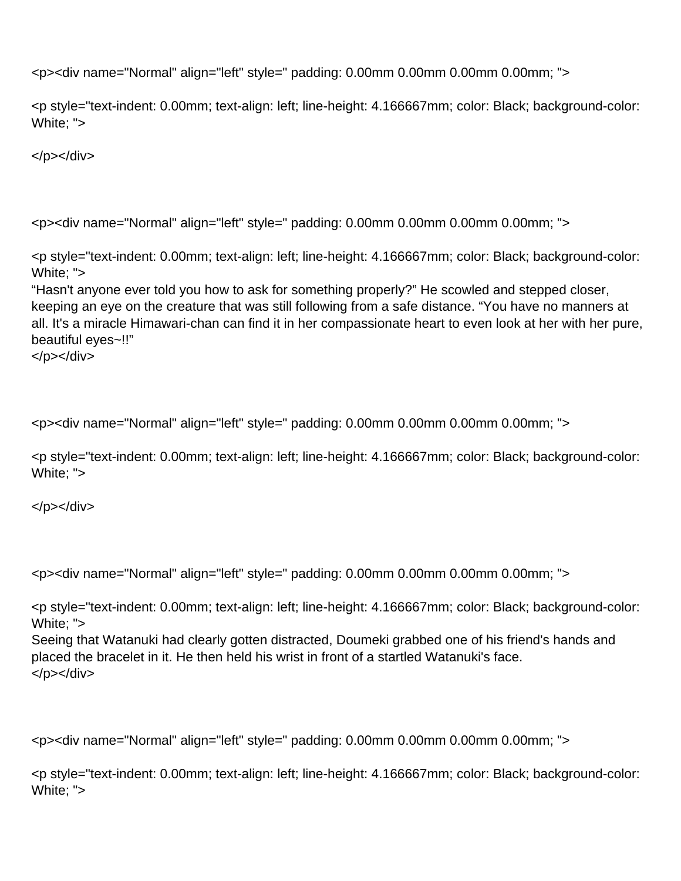<p style="text-indent: 0.00mm; text-align: left; line-height: 4.166667mm; color: Black; background-color: White; ">

</p></div>

<p><div name="Normal" align="left" style=" padding: 0.00mm 0.00mm 0.00mm 0.00mm; ">

<p style="text-indent: 0.00mm; text-align: left; line-height: 4.166667mm; color: Black; background-color: White; ">

"Hasn't anyone ever told you how to ask for something properly?" He scowled and stepped closer, keeping an eye on the creature that was still following from a safe distance. "You have no manners at all. It's a miracle Himawari-chan can find it in her compassionate heart to even look at her with her pure, beautiful eyes~!!"

```
</p></div>
```
<p><div name="Normal" align="left" style=" padding: 0.00mm 0.00mm 0.00mm 0.00mm; ">

<p style="text-indent: 0.00mm; text-align: left; line-height: 4.166667mm; color: Black; background-color: White; ">

</p></div>

<p><div name="Normal" align="left" style=" padding: 0.00mm 0.00mm 0.00mm 0.00mm; ">

<p style="text-indent: 0.00mm; text-align: left; line-height: 4.166667mm; color: Black; background-color: White; ">

Seeing that Watanuki had clearly gotten distracted, Doumeki grabbed one of his friend's hands and placed the bracelet in it. He then held his wrist in front of a startled Watanuki's face. </p></div>

<p><div name="Normal" align="left" style=" padding: 0.00mm 0.00mm 0.00mm 0.00mm; ">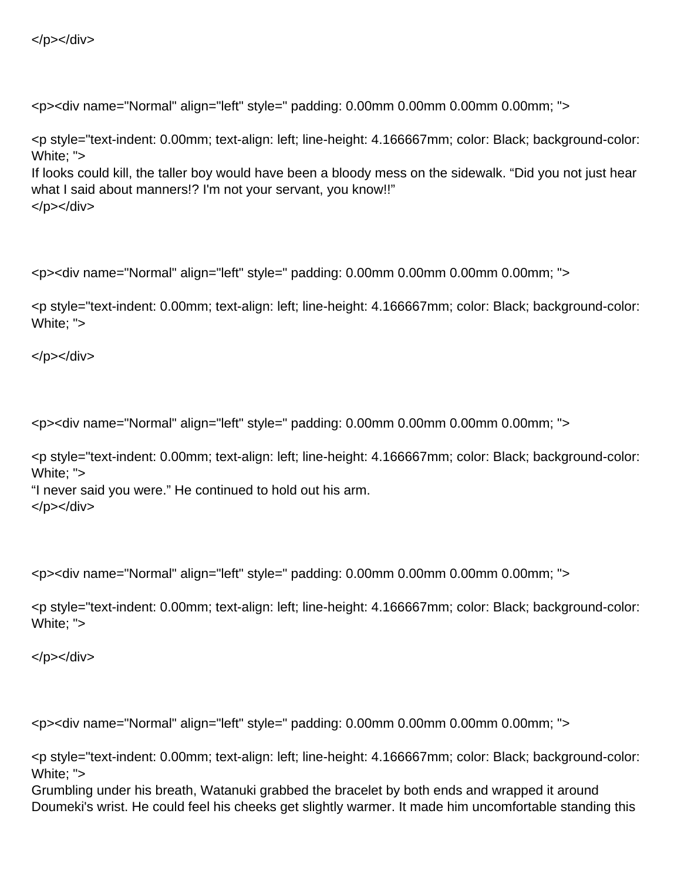<p style="text-indent: 0.00mm; text-align: left; line-height: 4.166667mm; color: Black; background-color: White; "> If looks could kill, the taller boy would have been a bloody mess on the sidewalk. "Did you not just hear what I said about manners!? I'm not your servant, you know!!" </p></div>

<p><div name="Normal" align="left" style=" padding: 0.00mm 0.00mm 0.00mm 0.00mm; ">

<p style="text-indent: 0.00mm; text-align: left; line-height: 4.166667mm; color: Black; background-color: White; ">

</p></div>

<p><div name="Normal" align="left" style=" padding: 0.00mm 0.00mm 0.00mm 0.00mm; ">

<p style="text-indent: 0.00mm; text-align: left; line-height: 4.166667mm; color: Black; background-color: White; ">

"I never said you were." He continued to hold out his arm. </p></div>

<p><div name="Normal" align="left" style=" padding: 0.00mm 0.00mm 0.00mm 0.00mm; ">

<p style="text-indent: 0.00mm; text-align: left; line-height: 4.166667mm; color: Black; background-color: White; ">

</p></div>

<p><div name="Normal" align="left" style=" padding: 0.00mm 0.00mm 0.00mm 0.00mm; ">

<p style="text-indent: 0.00mm; text-align: left; line-height: 4.166667mm; color: Black; background-color: White; ">

Grumbling under his breath, Watanuki grabbed the bracelet by both ends and wrapped it around Doumeki's wrist. He could feel his cheeks get slightly warmer. It made him uncomfortable standing this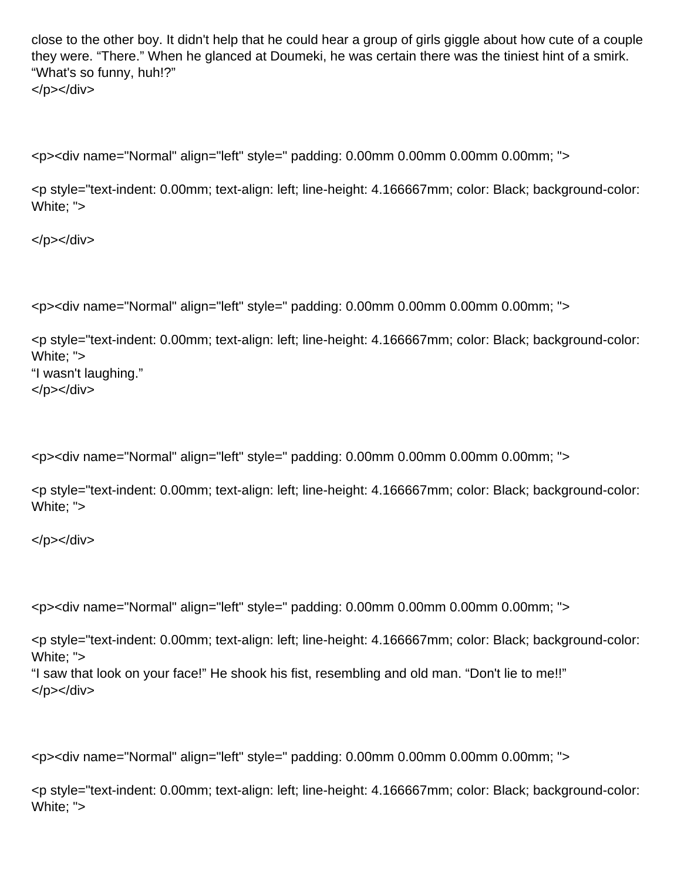close to the other boy. It didn't help that he could hear a group of girls giggle about how cute of a couple they were. "There." When he glanced at Doumeki, he was certain there was the tiniest hint of a smirk. "What's so funny, huh!?" </p></div>

<p><div name="Normal" align="left" style=" padding: 0.00mm 0.00mm 0.00mm 0.00mm; ">

<p style="text-indent: 0.00mm; text-align: left; line-height: 4.166667mm; color: Black; background-color: White; ">

</p></div>

<p><div name="Normal" align="left" style=" padding: 0.00mm 0.00mm 0.00mm 0.00mm; ">

<p style="text-indent: 0.00mm; text-align: left; line-height: 4.166667mm; color: Black; background-color: White; "> "I wasn't laughing." </p></div>

<p><div name="Normal" align="left" style=" padding: 0.00mm 0.00mm 0.00mm 0.00mm; ">

<p style="text-indent: 0.00mm; text-align: left; line-height: 4.166667mm; color: Black; background-color: White; ">

</p></div>

<p><div name="Normal" align="left" style=" padding: 0.00mm 0.00mm 0.00mm 0.00mm; ">

<p style="text-indent: 0.00mm; text-align: left; line-height: 4.166667mm; color: Black; background-color: White; ">

"I saw that look on your face!" He shook his fist, resembling and old man. "Don't lie to me!!" </p></div>

<p><div name="Normal" align="left" style=" padding: 0.00mm 0.00mm 0.00mm 0.00mm; ">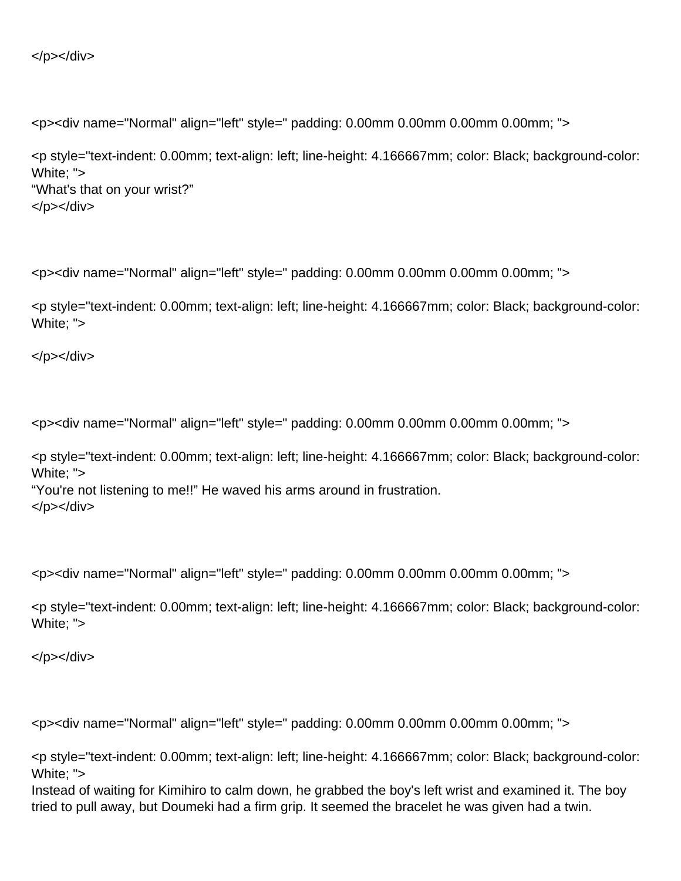</p></div>

<p><div name="Normal" align="left" style=" padding: 0.00mm 0.00mm 0.00mm 0.00mm; ">

<p style="text-indent: 0.00mm; text-align: left; line-height: 4.166667mm; color: Black; background-color: White; "> "What's that on your wrist?" </p></div>

<p><div name="Normal" align="left" style=" padding: 0.00mm 0.00mm 0.00mm 0.00mm; ">

<p style="text-indent: 0.00mm; text-align: left; line-height: 4.166667mm; color: Black; background-color: White; ">

</p></div>

<p><div name="Normal" align="left" style=" padding: 0.00mm 0.00mm 0.00mm 0.00mm; ">

<p style="text-indent: 0.00mm; text-align: left; line-height: 4.166667mm; color: Black; background-color: White; ">

"You're not listening to me!!" He waved his arms around in frustration. </p></div>

<p><div name="Normal" align="left" style=" padding: 0.00mm 0.00mm 0.00mm 0.00mm; ">

<p style="text-indent: 0.00mm; text-align: left; line-height: 4.166667mm; color: Black; background-color: White; ">

</p></div>

<p><div name="Normal" align="left" style=" padding: 0.00mm 0.00mm 0.00mm 0.00mm; ">

<p style="text-indent: 0.00mm; text-align: left; line-height: 4.166667mm; color: Black; background-color: White; ">

Instead of waiting for Kimihiro to calm down, he grabbed the boy's left wrist and examined it. The boy tried to pull away, but Doumeki had a firm grip. It seemed the bracelet he was given had a twin.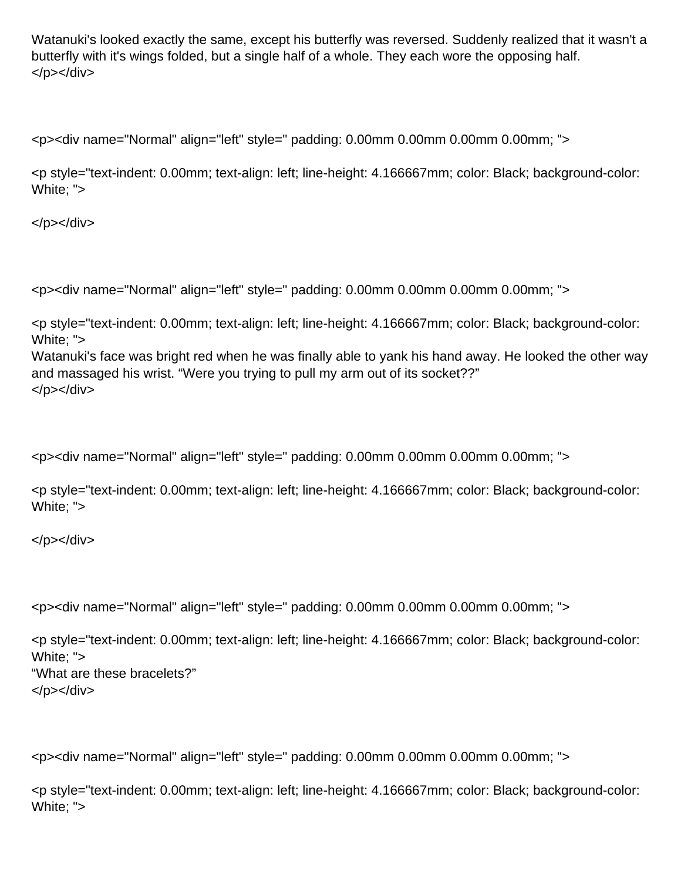Watanuki's looked exactly the same, except his butterfly was reversed. Suddenly realized that it wasn't a butterfly with it's wings folded, but a single half of a whole. They each wore the opposing half. </p></div>

<p><div name="Normal" align="left" style=" padding: 0.00mm 0.00mm 0.00mm 0.00mm; ">

<p style="text-indent: 0.00mm; text-align: left; line-height: 4.166667mm; color: Black; background-color: White; ">

</p></div>

<p><div name="Normal" align="left" style=" padding: 0.00mm 0.00mm 0.00mm 0.00mm; ">

<p style="text-indent: 0.00mm; text-align: left; line-height: 4.166667mm; color: Black; background-color: White; ">

Watanuki's face was bright red when he was finally able to yank his hand away. He looked the other way and massaged his wrist. "Were you trying to pull my arm out of its socket??" </p></div>

<p><div name="Normal" align="left" style=" padding: 0.00mm 0.00mm 0.00mm 0.00mm; ">

<p style="text-indent: 0.00mm; text-align: left; line-height: 4.166667mm; color: Black; background-color: White; ">

</p></div>

<p><div name="Normal" align="left" style=" padding: 0.00mm 0.00mm 0.00mm 0.00mm; ">

<p style="text-indent: 0.00mm; text-align: left; line-height: 4.166667mm; color: Black; background-color: White; "> "What are these bracelets?" </p></div>

<p><div name="Normal" align="left" style=" padding: 0.00mm 0.00mm 0.00mm 0.00mm; ">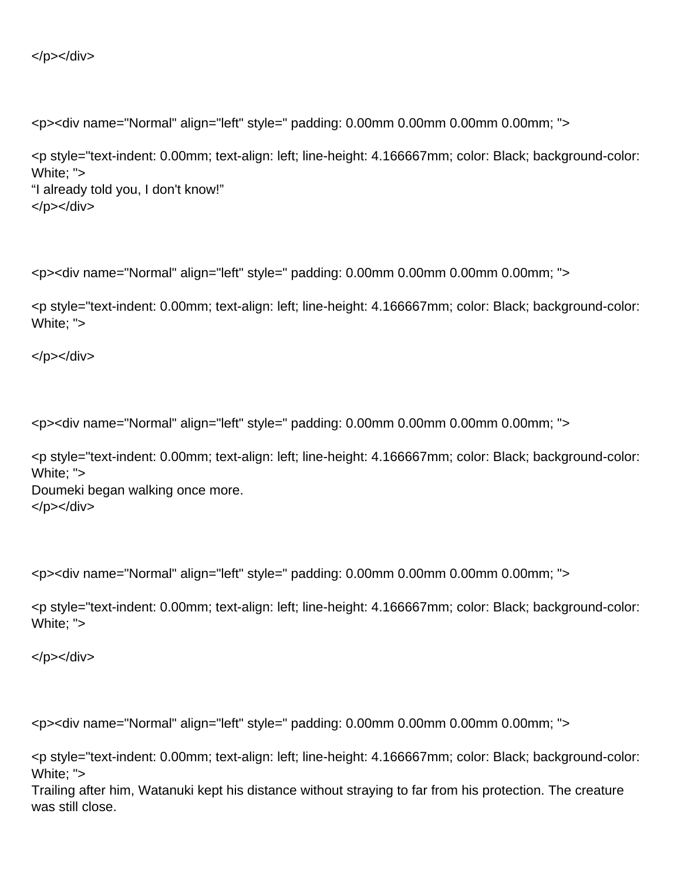```
</p></div>
```
<p style="text-indent: 0.00mm; text-align: left; line-height: 4.166667mm; color: Black; background-color: White; "> "I already told you, I don't know!" </p></div>

<p><div name="Normal" align="left" style=" padding: 0.00mm 0.00mm 0.00mm 0.00mm; ">

<p style="text-indent: 0.00mm; text-align: left; line-height: 4.166667mm; color: Black; background-color: White; ">

</p></div>

<p><div name="Normal" align="left" style=" padding: 0.00mm 0.00mm 0.00mm 0.00mm; ">

<p style="text-indent: 0.00mm; text-align: left; line-height: 4.166667mm; color: Black; background-color: White: "> Doumeki began walking once more.

</p></div>

<p><div name="Normal" align="left" style=" padding: 0.00mm 0.00mm 0.00mm 0.00mm; ">

<p style="text-indent: 0.00mm; text-align: left; line-height: 4.166667mm; color: Black; background-color: White; ">

</p></div>

<p><div name="Normal" align="left" style=" padding: 0.00mm 0.00mm 0.00mm 0.00mm; ">

<p style="text-indent: 0.00mm; text-align: left; line-height: 4.166667mm; color: Black; background-color: White; ">

Trailing after him, Watanuki kept his distance without straying to far from his protection. The creature was still close.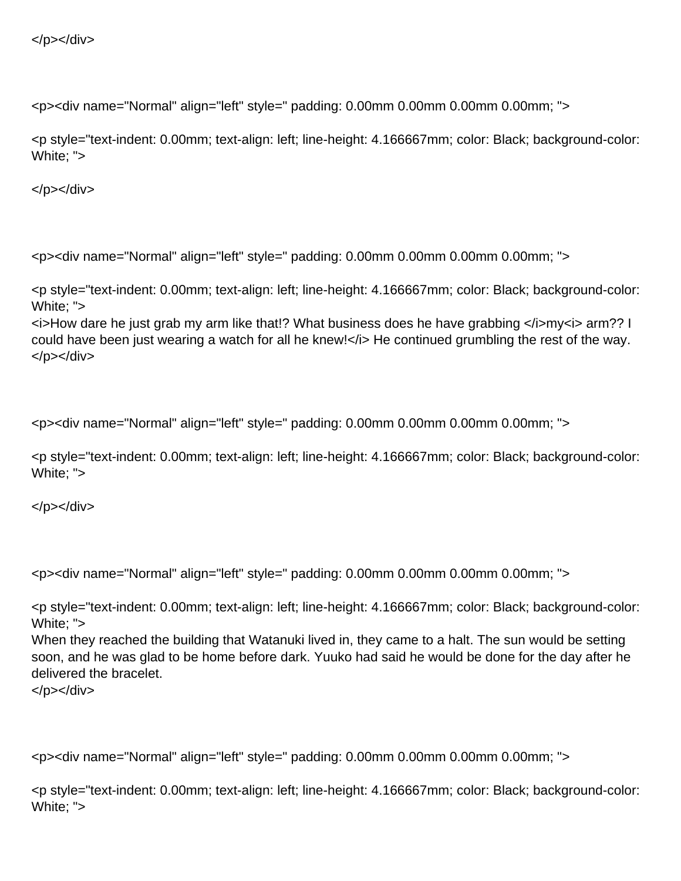```
</p></div>
```
<p style="text-indent: 0.00mm; text-align: left; line-height: 4.166667mm; color: Black; background-color: White; ">

</p></div>

<p><div name="Normal" align="left" style=" padding: 0.00mm 0.00mm 0.00mm 0.00mm; ">

<p style="text-indent: 0.00mm; text-align: left; line-height: 4.166667mm; color: Black; background-color: White; ">

 $\le$ i>How dare he just grab my arm like that!? What business does he have grabbing  $\le$ /i>my i> arm?? I could have been just wearing a watch for all he knew!</i> He continued grumbling the rest of the way. </p></div>

<p><div name="Normal" align="left" style=" padding: 0.00mm 0.00mm 0.00mm 0.00mm; ">

<p style="text-indent: 0.00mm; text-align: left; line-height: 4.166667mm; color: Black; background-color: White; ">

</p></div>

<p><div name="Normal" align="left" style=" padding: 0.00mm 0.00mm 0.00mm 0.00mm; ">

<p style="text-indent: 0.00mm; text-align: left; line-height: 4.166667mm; color: Black; background-color: White; ">

When they reached the building that Watanuki lived in, they came to a halt. The sun would be setting soon, and he was glad to be home before dark. Yuuko had said he would be done for the day after he delivered the bracelet.

</p></div>

<p><div name="Normal" align="left" style=" padding: 0.00mm 0.00mm 0.00mm 0.00mm; ">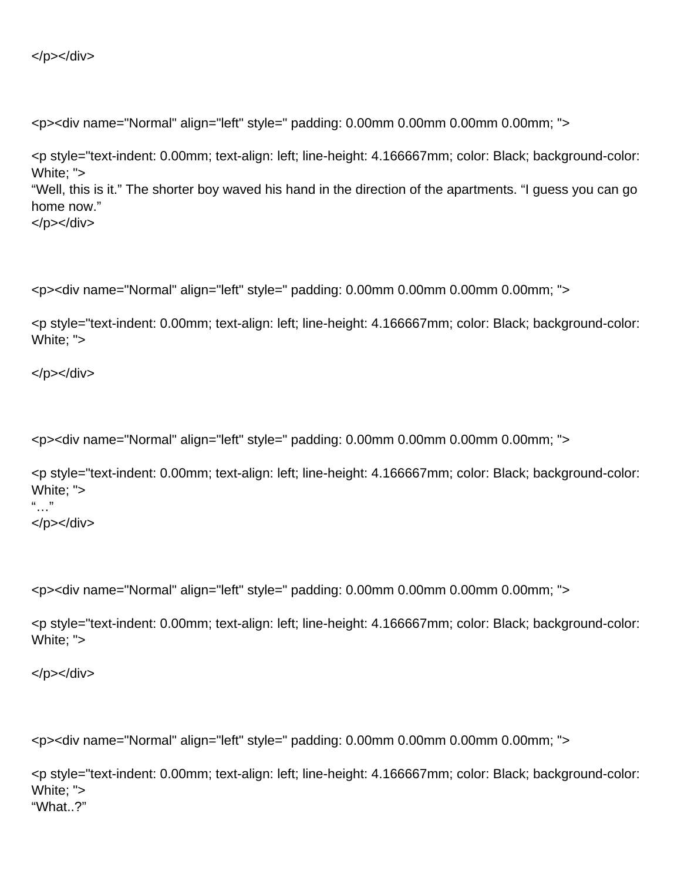```
</p></div>
```
<p style="text-indent: 0.00mm; text-align: left; line-height: 4.166667mm; color: Black; background-color: White; "> "Well, this is it." The shorter boy waved his hand in the direction of the apartments. "I guess you can go home now." </p></div>

<p><div name="Normal" align="left" style=" padding: 0.00mm 0.00mm 0.00mm 0.00mm; ">

<p style="text-indent: 0.00mm; text-align: left; line-height: 4.166667mm; color: Black; background-color: White; ">

</p></div>

<p><div name="Normal" align="left" style=" padding: 0.00mm 0.00mm 0.00mm 0.00mm; ">

```
<p style="text-indent: 0.00mm; text-align: left; line-height: 4.166667mm; color: Black; background-color:
White; ">
\frac{1}{2}</p></div>
```
<p><div name="Normal" align="left" style=" padding: 0.00mm 0.00mm 0.00mm 0.00mm; ">

<p style="text-indent: 0.00mm; text-align: left; line-height: 4.166667mm; color: Black; background-color: White; ">

</p></div>

<p><div name="Normal" align="left" style=" padding: 0.00mm 0.00mm 0.00mm 0.00mm; ">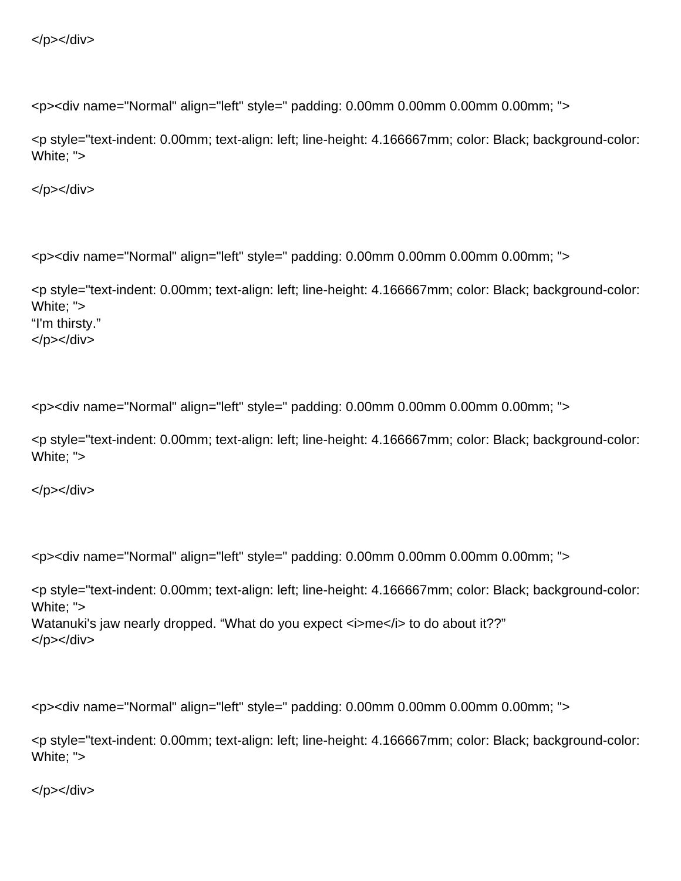```
</p></div>
```
<p style="text-indent: 0.00mm; text-align: left; line-height: 4.166667mm; color: Black; background-color: White; ">

</p></div>

<p><div name="Normal" align="left" style=" padding: 0.00mm 0.00mm 0.00mm 0.00mm; ">

<p style="text-indent: 0.00mm; text-align: left; line-height: 4.166667mm; color: Black; background-color: White; "> "I'm thirsty." </p></div>

<p><div name="Normal" align="left" style=" padding: 0.00mm 0.00mm 0.00mm 0.00mm; ">

<p style="text-indent: 0.00mm; text-align: left; line-height: 4.166667mm; color: Black; background-color: White; ">

</p></div>

<p><div name="Normal" align="left" style=" padding: 0.00mm 0.00mm 0.00mm 0.00mm; ">

<p style="text-indent: 0.00mm; text-align: left; line-height: 4.166667mm; color: Black; background-color: White; "> Watanuki's jaw nearly dropped. "What do you expect <i>me</i> to do about it??" </p></div>

<p><div name="Normal" align="left" style=" padding: 0.00mm 0.00mm 0.00mm 0.00mm; ">

<p style="text-indent: 0.00mm; text-align: left; line-height: 4.166667mm; color: Black; background-color: White; ">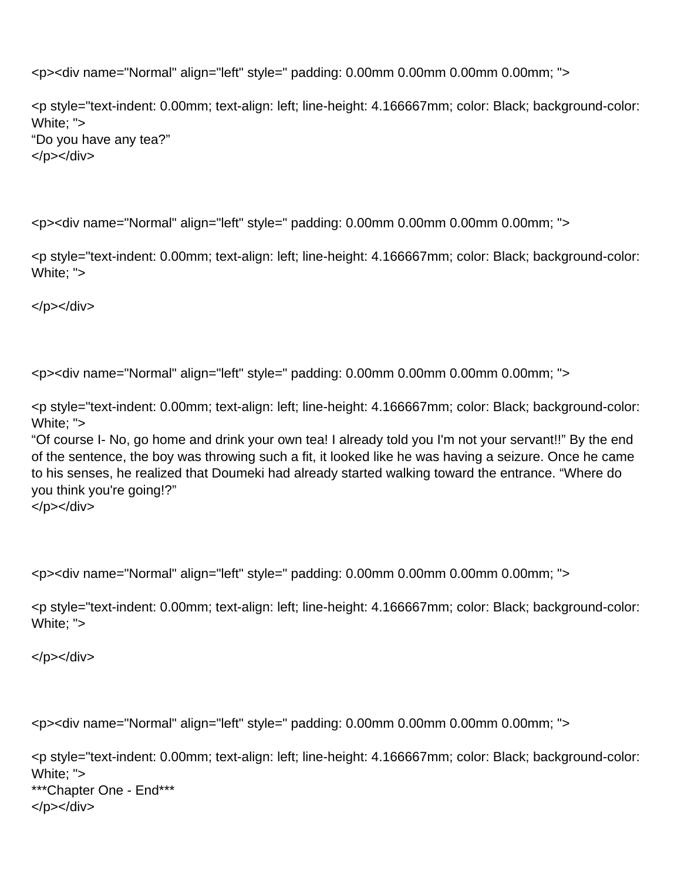<p style="text-indent: 0.00mm; text-align: left; line-height: 4.166667mm; color: Black; background-color: White; "> "Do you have any tea?" </p></div>

<p><div name="Normal" align="left" style=" padding: 0.00mm 0.00mm 0.00mm 0.00mm; ">

<p style="text-indent: 0.00mm; text-align: left; line-height: 4.166667mm; color: Black; background-color: White; ">

</p></div>

<p><div name="Normal" align="left" style=" padding: 0.00mm 0.00mm 0.00mm 0.00mm; ">

<p style="text-indent: 0.00mm; text-align: left; line-height: 4.166667mm; color: Black; background-color: White; ">

"Of course I- No, go home and drink your own tea! I already told you I'm not your servant!!" By the end of the sentence, the boy was throwing such a fit, it looked like he was having a seizure. Once he came to his senses, he realized that Doumeki had already started walking toward the entrance. "Where do you think you're going!?" </p></div>

<p><div name="Normal" align="left" style=" padding: 0.00mm 0.00mm 0.00mm 0.00mm; ">

<p style="text-indent: 0.00mm; text-align: left; line-height: 4.166667mm; color: Black; background-color: White; ">

</p></div>

<p><div name="Normal" align="left" style=" padding: 0.00mm 0.00mm 0.00mm 0.00mm; ">

<p style="text-indent: 0.00mm; text-align: left; line-height: 4.166667mm; color: Black; background-color: White; "> \*\*\*Chapter One - End\*\*\* </p></div>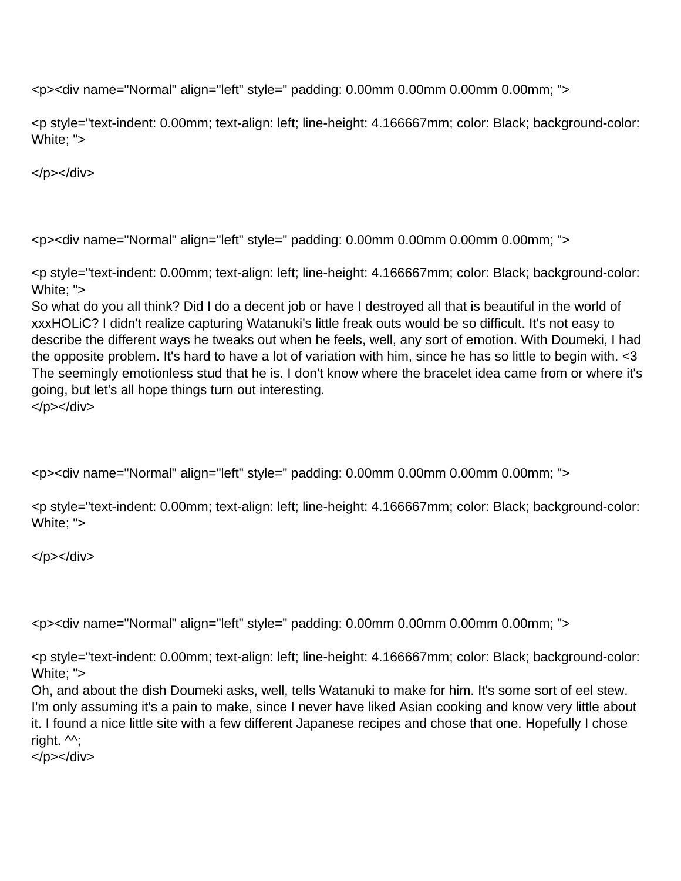<p style="text-indent: 0.00mm; text-align: left; line-height: 4.166667mm; color: Black; background-color: White; ">

</p></div>

<p><div name="Normal" align="left" style=" padding: 0.00mm 0.00mm 0.00mm 0.00mm; ">

<p style="text-indent: 0.00mm; text-align: left; line-height: 4.166667mm; color: Black; background-color: White: ">

So what do you all think? Did I do a decent job or have I destroyed all that is beautiful in the world of xxxHOLiC? I didn't realize capturing Watanuki's little freak outs would be so difficult. It's not easy to describe the different ways he tweaks out when he feels, well, any sort of emotion. With Doumeki, I had the opposite problem. It's hard to have a lot of variation with him, since he has so little to begin with. <3 The seemingly emotionless stud that he is. I don't know where the bracelet idea came from or where it's going, but let's all hope things turn out interesting. </p></div>

<p><div name="Normal" align="left" style=" padding: 0.00mm 0.00mm 0.00mm 0.00mm; ">

<p style="text-indent: 0.00mm; text-align: left; line-height: 4.166667mm; color: Black; background-color: White; ">

</p></div>

<p><div name="Normal" align="left" style=" padding: 0.00mm 0.00mm 0.00mm 0.00mm; ">

<p style="text-indent: 0.00mm; text-align: left; line-height: 4.166667mm; color: Black; background-color: White; ">

Oh, and about the dish Doumeki asks, well, tells Watanuki to make for him. It's some sort of eel stew. I'm only assuming it's a pain to make, since I never have liked Asian cooking and know very little about it. I found a nice little site with a few different Japanese recipes and chose that one. Hopefully I chose right.  $\mathcal{M}$ ;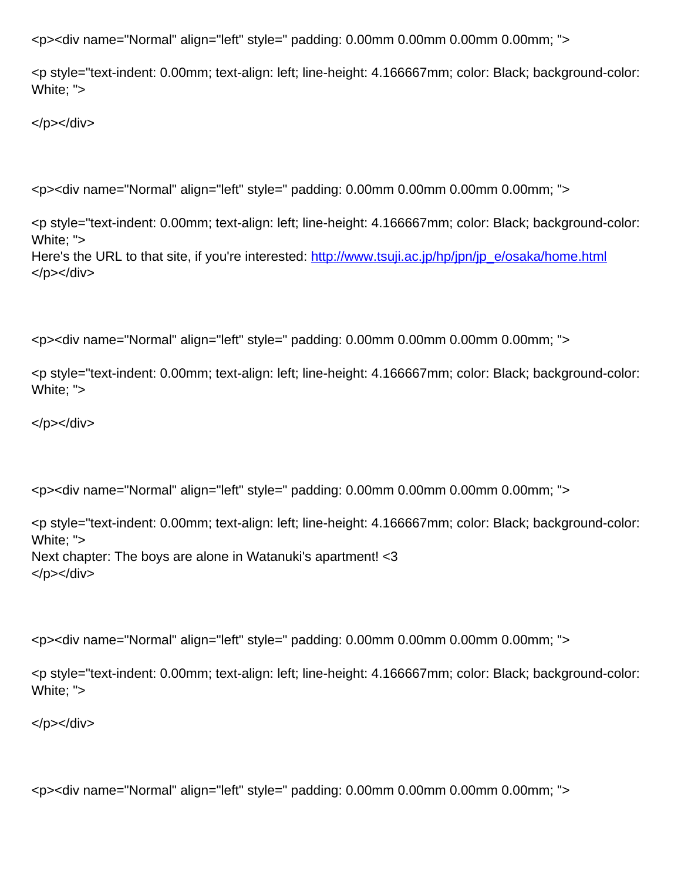<p style="text-indent: 0.00mm; text-align: left; line-height: 4.166667mm; color: Black; background-color: White; ">

</p></div>

<p><div name="Normal" align="left" style=" padding: 0.00mm 0.00mm 0.00mm 0.00mm; ">

<p style="text-indent: 0.00mm; text-align: left; line-height: 4.166667mm; color: Black; background-color: White; "> Here's the URL to that site, if you're interested: [http://www.tsuji.ac.jp/hp/jpn/jp\\_e/osaka/home.html](http://www.tsuji.ac.jp/hp/jpn/jp_e/osaka/home.html) </p></div>

<p><div name="Normal" align="left" style=" padding: 0.00mm 0.00mm 0.00mm 0.00mm; ">

<p style="text-indent: 0.00mm; text-align: left; line-height: 4.166667mm; color: Black; background-color: White; ">

</p></div>

<p><div name="Normal" align="left" style=" padding: 0.00mm 0.00mm 0.00mm 0.00mm; ">

<p style="text-indent: 0.00mm; text-align: left; line-height: 4.166667mm; color: Black; background-color: White; "> Next chapter: The boys are alone in Watanuki's apartment! <3 </p></div>

<p><div name="Normal" align="left" style=" padding: 0.00mm 0.00mm 0.00mm 0.00mm; ">

<p style="text-indent: 0.00mm; text-align: left; line-height: 4.166667mm; color: Black; background-color: White; ">

</p></div>

<p><div name="Normal" align="left" style=" padding: 0.00mm 0.00mm 0.00mm 0.00mm; ">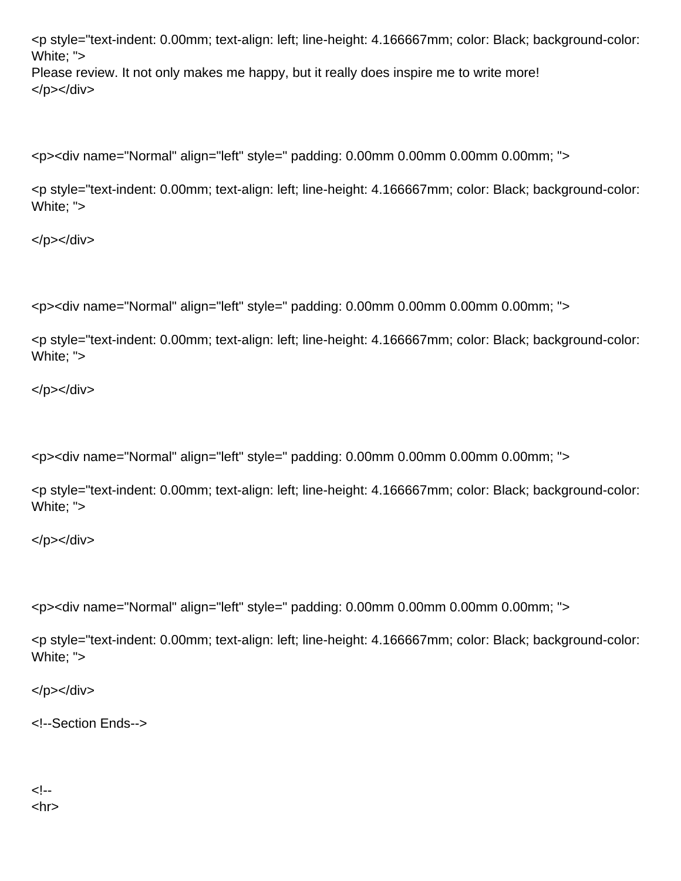<p style="text-indent: 0.00mm; text-align: left; line-height: 4.166667mm; color: Black; background-color: White: "> Please review. It not only makes me happy, but it really does inspire me to write more! </p></div>

<p><div name="Normal" align="left" style=" padding: 0.00mm 0.00mm 0.00mm 0.00mm; ">

<p style="text-indent: 0.00mm; text-align: left; line-height: 4.166667mm; color: Black; background-color: White; ">

</p></div>

<p><div name="Normal" align="left" style=" padding: 0.00mm 0.00mm 0.00mm 0.00mm; ">

<p style="text-indent: 0.00mm; text-align: left; line-height: 4.166667mm; color: Black; background-color: White; ">

</p></div>

<p><div name="Normal" align="left" style=" padding: 0.00mm 0.00mm 0.00mm 0.00mm; ">

<p style="text-indent: 0.00mm; text-align: left; line-height: 4.166667mm; color: Black; background-color: White; ">

</p></div>

<p><div name="Normal" align="left" style=" padding: 0.00mm 0.00mm 0.00mm 0.00mm; ">

<p style="text-indent: 0.00mm; text-align: left; line-height: 4.166667mm; color: Black; background-color: White; ">

 $<$ /p> $<$ /div>

<!--Section Ends-->

<!-- <hr>